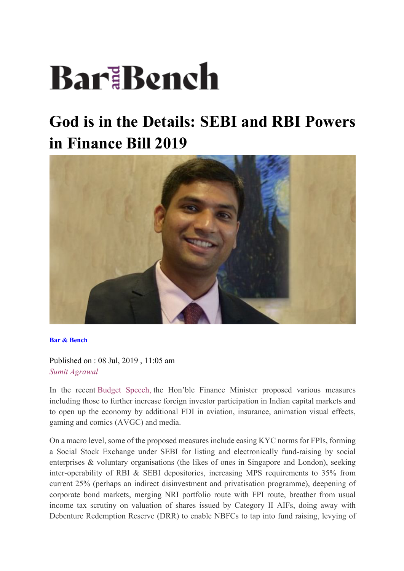# BariBench

# **God is in the Details: SEBI and RBI Powers in Finance Bill 2019**



**Bar & Bench**

Published on : 08 Jul, 2019 , 11:05 am *Sumit Agrawal*

In the recent Budget Speech, the Hon'ble Finance Minister proposed various measures including those to further increase foreign investor participation in Indian capital markets and to open up the economy by additional FDI in aviation, insurance, animation visual effects, gaming and comics (AVGC) and media.

On a macro level, some of the proposed measures include easing KYC norms for FPIs, forming a Social Stock Exchange under SEBI for listing and electronically fund-raising by social enterprises & voluntary organisations (the likes of ones in Singapore and London), seeking inter-operability of RBI & SEBI depositories, increasing MPS requirements to 35% from current 25% (perhaps an indirect disinvestment and privatisation programme), deepening of corporate bond markets, merging NRI portfolio route with FPI route, breather from usual income tax scrutiny on valuation of shares issued by Category II AIFs, doing away with Debenture Redemption Reserve (DRR) to enable NBFCs to tap into fund raising, levying of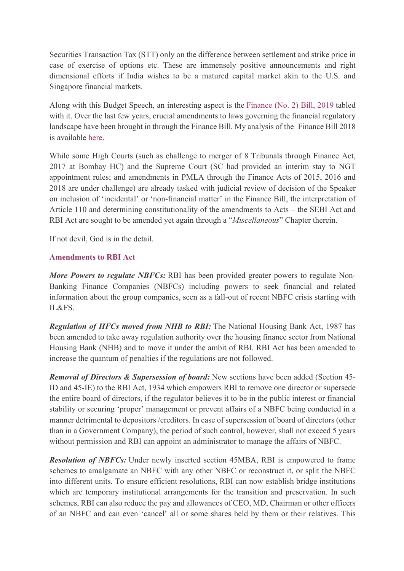Securities Transaction Tax (STT) only on the difference between settlement and strike price in case of exercise of options etc. These are immensely positive announcements and right dimensional efforts if India wishes to be a matured capital market akin to the U.S. and Singapore financial markets.

Along with this Budget Speech, an interesting aspect is the Finance (No. 2) Bill, 2019 tabled with it. Over the last few years, crucial amendments to laws governing the financial regulatory landscape have been brought in through the Finance Bill. My analysis of the Finance Bill 2018 is available here.

While some High Courts (such as challenge to merger of 8 Tribunals through Finance Act, 2017 at Bombay HC) and the Supreme Court (SC had provided an interim stay to NGT appointment rules; and amendments in PMLA through the Finance Acts of 2015, 2016 and 2018 are under challenge) are already tasked with judicial review of decision of the Speaker on inclusion of 'incidental' or 'non-financial matter' in the Finance Bill, the interpretation of Article 110 and determining constitutionality of the amendments to Acts – the SEBI Act and RBI Act are sought to be amended yet again through a "*Miscellaneous*" Chapter therein.

If not devil, God is in the detail.

#### **Amendments to RBI Act**

*More Powers to regulate NBFCs:* RBI has been provided greater powers to regulate Non-Banking Finance Companies (NBFCs) including powers to seek financial and related information about the group companies, seen as a fall-out of recent NBFC crisis starting with IL&FS.

*Regulation of HFCs moved from NHB to RBI:* The National Housing Bank Act, 1987 has been amended to take away regulation authority over the housing finance sector from National Housing Bank (NHB) and to move it under the ambit of RBI. RBI Act has been amended to increase the quantum of penalties if the regulations are not followed.

*Removal of Directors & Supersession of board:* New sections have been added (Section 45- ID and 45-IE) to the RBI Act, 1934 which empowers RBI to remove one director or supersede the entire board of directors, if the regulator believes it to be in the public interest or financial stability or securing 'proper' management or prevent affairs of a NBFC being conducted in a manner detrimental to depositors /creditors. In case of supersession of board of directors (other than in a Government Company), the period of such control, however, shall not exceed 5 years without permission and RBI can appoint an administrator to manage the affairs of NBFC.

*Resolution of NBFCs:* Under newly inserted section 45MBA, RBI is empowered to frame schemes to amalgamate an NBFC with any other NBFC or reconstruct it, or split the NBFC into different units. To ensure efficient resolutions, RBI can now establish bridge institutions which are temporary institutional arrangements for the transition and preservation. In such schemes, RBI can also reduce the pay and allowances of CEO, MD, Chairman or other officers of an NBFC and can even 'cancel' all or some shares held by them or their relatives. This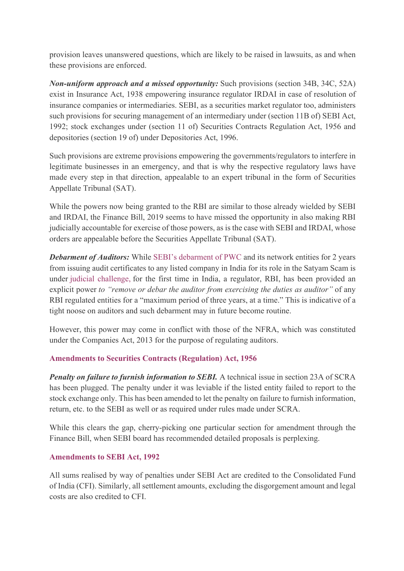provision leaves unanswered questions, which are likely to be raised in lawsuits, as and when these provisions are enforced.

*Non-uniform approach and a missed opportunity:* Such provisions (section 34B, 34C, 52A) exist in Insurance Act, 1938 empowering insurance regulator IRDAI in case of resolution of insurance companies or intermediaries. SEBI, as a securities market regulator too, administers such provisions for securing management of an intermediary under (section 11B of) SEBI Act, 1992; stock exchanges under (section 11 of) Securities Contracts Regulation Act, 1956 and depositories (section 19 of) under Depositories Act, 1996.

Such provisions are extreme provisions empowering the governments/regulators to interfere in legitimate businesses in an emergency, and that is why the respective regulatory laws have made every step in that direction, appealable to an expert tribunal in the form of Securities Appellate Tribunal (SAT).

While the powers now being granted to the RBI are similar to those already wielded by SEBI and IRDAI, the Finance Bill, 2019 seems to have missed the opportunity in also making RBI judicially accountable for exercise of those powers, as is the case with SEBI and IRDAI, whose orders are appealable before the Securities Appellate Tribunal (SAT).

**Debarment of Auditors:** While SEBI's debarment of PWC and its network entities for 2 years from issuing audit certificates to any listed company in India for its role in the Satyam Scam is under judicial challenge, for the first time in India, a regulator, RBI, has been provided an explicit power *to "remove or debar the auditor from exercising the duties as auditor"* of any RBI regulated entities for a "maximum period of three years, at a time." This is indicative of a tight noose on auditors and such debarment may in future become routine.

However, this power may come in conflict with those of the NFRA, which was constituted under the Companies Act, 2013 for the purpose of regulating auditors.

## **Amendments to Securities Contracts (Regulation) Act, 1956**

*Penalty on failure to furnish information to SEBI.* A technical issue in section 23A of SCRA has been plugged. The penalty under it was leviable if the listed entity failed to report to the stock exchange only. This has been amended to let the penalty on failure to furnish information, return, etc. to the SEBI as well or as required under rules made under SCRA.

While this clears the gap, cherry-picking one particular section for amendment through the Finance Bill, when SEBI board has recommended detailed proposals is perplexing.

#### **Amendments to SEBI Act, 1992**

All sums realised by way of penalties under SEBI Act are credited to the Consolidated Fund of India (CFI). Similarly, all settlement amounts, excluding the disgorgement amount and legal costs are also credited to CFI.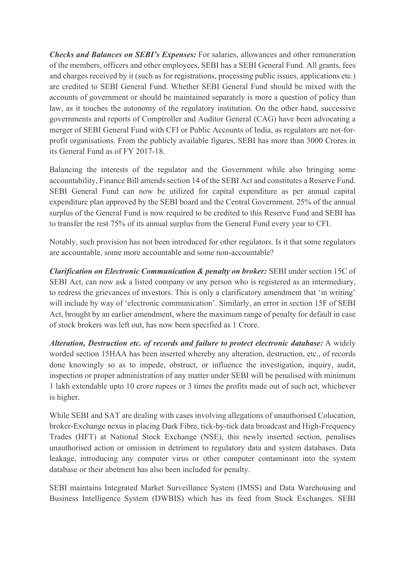*Checks and Balances on SEBI's Expenses:* For salaries, allowances and other remuneration of the members, officers and other employees, SEBI has a SEBI General Fund. All grants, fees and charges received by it (such as for registrations, processing public issues, applications etc.) are credited to SEBI General Fund. Whether SEBI General Fund should be mixed with the accounts of government or should be maintained separately is more a question of policy than law, as it touches the autonomy of the regulatory institution. On the other hand, successive governments and reports of Comptroller and Auditor General (CAG) have been advocating a merger of SEBI General Fund with CFI or Public Accounts of India, as regulators are not-forprofit organisations. From the publicly available figures, SEBI has more than 3000 Crores in its General Fund as of FY 2017-18.

Balancing the interests of the regulator and the Government while also bringing some accountability, Finance Bill amends section 14 of the SEBI Act and constitutes a Reserve Fund. SEBI General Fund can now be utilized for capital expenditure as per annual capital expenditure plan approved by the SEBI board and the Central Government. 25% of the annual surplus of the General Fund is now required to be credited to this Reserve Fund and SEBI has to transfer the rest 75% of its annual surplus from the General Fund every year to CFI.

Notably, such provision has not been introduced for other regulators. Is it that some regulators are accountable, some more accountable and some non-accountable?

*Clarification on Electronic Communication & penalty on broker:* SEBI under section 15C of SEBI Act, can now ask a listed company or any person who is registered as an intermediary, to redress the grievances of investors. This is only a clarificatory amendment that 'in writing' will include by way of 'electronic communication'. Similarly, an error in section 15F of SEBI Act, brought by an earlier amendment, where the maximum range of penalty for default in case of stock brokers was left out, has now been specified as 1 Crore.

*Alteration, Destruction etc. of records and failure to protect electronic database:* A widely worded section 15HAA has been inserted whereby any alteration, destruction, etc., of records done knowingly so as to impede, obstruct, or influence the investigation, inquiry, audit, inspection or proper administration of any matter under SEBI will be penalised with minimum 1 lakh extendable upto 10 crore rupees or 3 times the profits made out of such act, whichever is higher.

While SEBI and SAT are dealing with cases involving allegations of unauthorised Colocation, broker-Exchange nexus in placing Dark Fibre, tick-by-tick data broadcast and High-Frequency Trades (HFT) at National Stock Exchange (NSE), this newly inserted section, penalises unauthorised action or omission in detriment to regulatory data and system databases. Data leakage, introducing any computer virus or other computer contaminant into the system database or their abetment has also been included for penalty.

SEBI maintains Integrated Market Surveillance System (IMSS) and Data Warehousing and Business Intelligence System (DWBIS) which has its feed from Stock Exchanges. SEBI